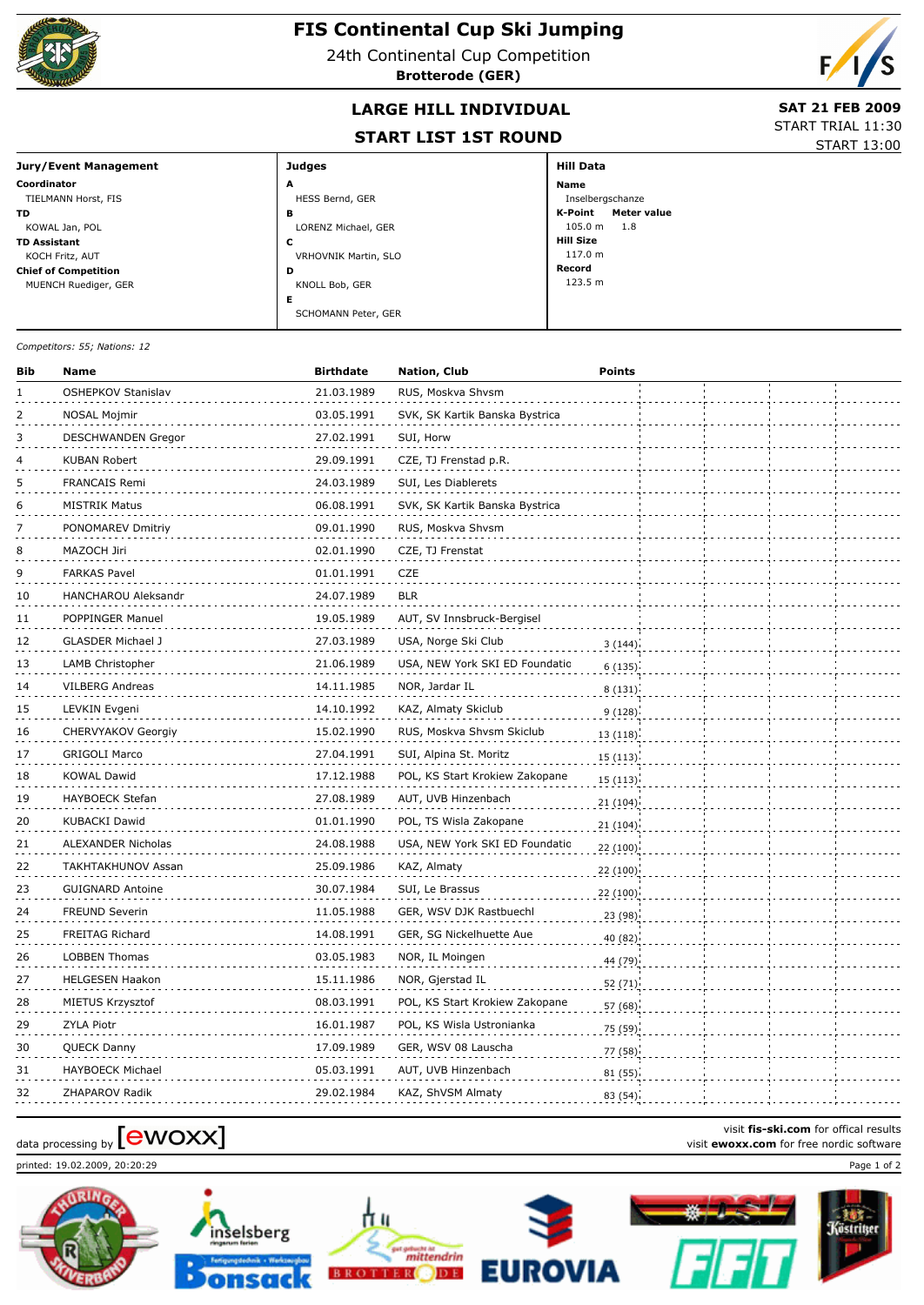

## **FIS Continental Cup Ski Jumping**

24th Continental Cup Competition

**Brotterode (GER)**



## LARGE HILL INDIVIDUAL **SAT 21 FEB 2009**

## **START LIST 1ST ROUND**

START TRIAL 11:30 START 13:00

**Jury/Event Management Coordinator** TIELMANN Horst, FIS **TD** KOWAL Jan, POL **TD Assistant** KOCH Fritz, AUT **Chief of Competition** MUENCH Ruediger, GER **Hill Data Name** Inselbergschanze **K-Point Meter value** 105.0 m 1.8 **Hill Size** 117.0 m **Record** 123.5 m **Judges** HESS Bernd, GER **<sup>A</sup> B**<br>LORENZ Michael, GER VRHOVNIK Martin, SLO **C** KNOLL Bob, GER **<sup>D</sup>** SCHOMANN Peter, GER **E**

*Competitors: 55; Nations: 12*

| Bib | <b>Name</b>                | <b>Birthdate</b> | <b>Nation, Club</b>            | <b>Points</b> |  |  |
|-----|----------------------------|------------------|--------------------------------|---------------|--|--|
| 1   | OSHEPKOV Stanislav         | 21.03.1989       | RUS, Moskva Shvsm              |               |  |  |
| 2   | NOSAL Mojmir               | 03.05.1991       | SVK, SK Kartik Banska Bystrica |               |  |  |
| 3   | <b>DESCHWANDEN Gregor</b>  | 27.02.1991       | SUI, Horw                      |               |  |  |
| 4   | KUBAN Robert               | 29.09.1991       | CZE, TJ Frenstad p.R.          |               |  |  |
| 5   | FRANCAIS Remi              | 24.03.1989       | SUI, Les Diablerets            |               |  |  |
| 6   | <b>MISTRIK Matus</b>       | 06.08.1991       | SVK, SK Kartik Banska Bystrica |               |  |  |
|     | PONOMAREV Dmitriy          | 09.01.1990       | RUS, Moskva Shvsm              |               |  |  |
| 8   | MAZOCH Jiri                | 02.01.1990       | CZE, TJ Frenstat               |               |  |  |
| 9   | <b>FARKAS Pavel</b>        | 01.01.1991       | CZE                            |               |  |  |
| 10  | <b>HANCHAROU Aleksandr</b> | 24.07.1989       | <b>BLR</b>                     |               |  |  |
| 11  | POPPINGER Manuel           | 19.05.1989       | AUT, SV Innsbruck-Bergisel     |               |  |  |
| 12  | <b>GLASDER Michael J</b>   | 27.03.1989       | USA, Norge Ski Club            | 3(144)        |  |  |
| 13  | LAMB Christopher           | 21.06.1989       | USA, NEW York SKI ED Foundatio | 6(135)        |  |  |
| 14  | VILBERG Andreas            | 14.11.1985       | NOR, Jardar IL                 | 8(131)        |  |  |
| 15  | LEVKIN Evgeni              | 14.10.1992       | KAZ, Almaty Skiclub            | 9(128)        |  |  |
| 16  | CHERVYAKOV Georgiy         | 15.02.1990       | RUS, Moskva Shvsm Skiclub      | 13(118)       |  |  |
| 17  | <b>GRIGOLI Marco</b>       | 27.04.1991       | SUI, Alpina St. Moritz         | 15 (113)      |  |  |
| 18  | <b>KOWAL Dawid</b>         | 17.12.1988       | POL, KS Start Krokiew Zakopane | 15(113)       |  |  |
| 19  | HAYBOECK Stefan            | 27.08.1989       | AUT, UVB Hinzenbach            | 21 (104)      |  |  |
| 20  | <b>KUBACKI Dawid</b>       | 01.01.1990       | POL, TS Wisla Zakopane         | 21(104)       |  |  |
| 21  | <b>ALEXANDER Nicholas</b>  | 24.08.1988       | USA, NEW York SKI ED Foundatio | 22 (100)      |  |  |
| 22  | TAKHTAKHUNOV Assan         | 25.09.1986       | KAZ, Almaty                    | 22(100)       |  |  |
| 23  | <b>GUIGNARD Antoine</b>    | 30.07.1984       | SUI, Le Brassus                | 22(100)       |  |  |
| 24  | <b>FREUND Severin</b>      | 11.05.1988       | GER, WSV DJK Rastbuechl        | 23 (98)       |  |  |
| 25  | <b>FREITAG Richard</b>     | 14.08.1991       | GER, SG Nickelhuette Aue       | 40 (82)       |  |  |
| 26  | <b>LOBBEN Thomas</b>       | 03.05.1983       | NOR, IL Moingen                | 44 (79)       |  |  |
| 27  | <b>HELGESEN Haakon</b>     | 15.11.1986       | NOR, Gjerstad IL               | 52 (71)       |  |  |
| 28  | MIETUS Krzysztof           | 08.03.1991       | POL, KS Start Krokiew Zakopane | 57 (68)       |  |  |
| 29  | ZYLA Piotr                 | 16.01.1987       | POL, KS Wisla Ustronianka      | 75 (59)       |  |  |
| 30  | QUECK Danny                | 17.09.1989       | GER, WSV 08 Lauscha            | 77 (58)       |  |  |
| 31  | <b>HAYBOECK Michael</b>    | 05.03.1991       | AUT, UVB Hinzenbach            | 81 (55)       |  |  |
| 32  | ZHAPAROV Radik             | 29.02.1984       | KAZ, ShVSM Almaty              | 83 (54)       |  |  |

## visit fis-ski.com for offical results<br>visit **ewoxx.com** for free nordic software<br>visit **ewoxx.com** for free nordic software

printed: 19.02.2009, 20:20:29 Page 1 of 2











visit **fis-ski.com** for offical results